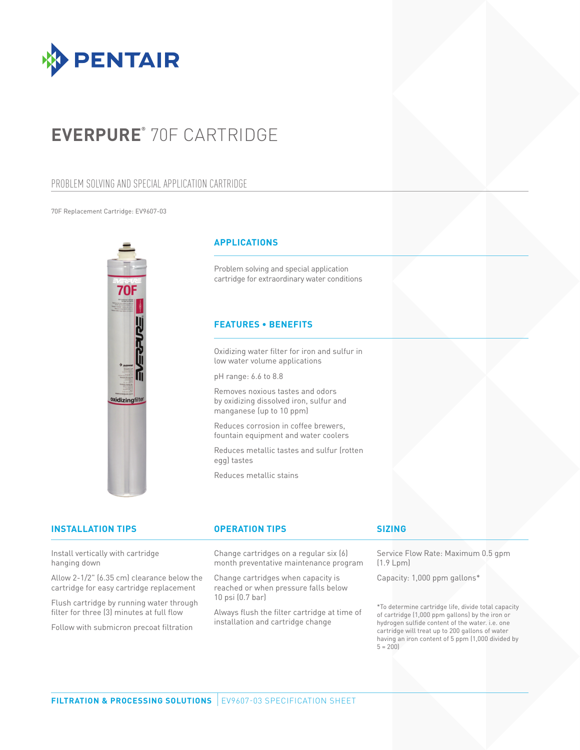

# **EVERPURE®** 70F CARTRIDGE

## PROBLEM SOLVING AND SPECIAL APPLICATION CARTRIDGE

#### 70F Replacement Cartridge: EV9607-03



filter for three (3) minutes at full flow Follow with submicron precoat filtration

### **APPLICATIONS**

Problem solving and special application cartridge for extraordinary water conditions

### **FEATURES • BENEFITS**

Oxidizing water filter for iron and sulfur in low water volume applications

pH range: 6.6 to 8.8

Removes noxious tastes and odors by oxidizing dissolved iron, sulfur and manganese (up to 10 ppm)

Reduces corrosion in coffee brewers, fountain equipment and water coolers

Reduces metallic tastes and sulfur (rotten egg) tastes

Reduces metallic stains

| Service Flow Rate: Maximum 0.5 gpm<br>month preventative maintenance program<br>(1.9 Lpm)                                      |                                                                                                     |
|--------------------------------------------------------------------------------------------------------------------------------|-----------------------------------------------------------------------------------------------------|
| Change cartridges when capacity is<br>Capacity: 1,000 ppm gallons*<br>reached or when pressure falls below<br>10 psi (0.7 bar) |                                                                                                     |
|                                                                                                                                | Change cartridges on a regular six (6)<br>*Ta dalah menjum memberi dan 1962 di didakan dan memerika |

Always flush the filter cartridge at time of installation and cartridge change

\*To determine cartridge life, divide total capacity of cartridge (1,000 ppm gallons) by the iron or hydrogen sulfide content of the water. i.e. one cartridge will treat up to 200 gallons of water having an iron content of 5 ppm (1,000 divided by  $5 = 200$